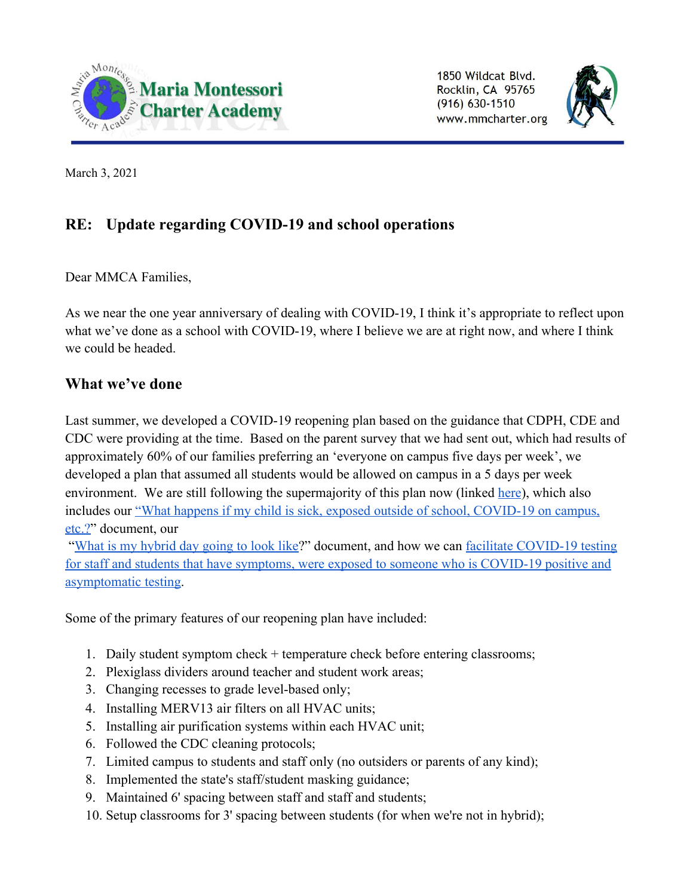

1850 Wildcat Blvd. Rocklin, CA 95765  $(916) 630 - 1510$ www.mmcharter.org



March 3, 2021

# **RE: Update regarding COVID-19 and school operations**

Dear MMCA Families,

As we near the one year anniversary of dealing with COVID-19, I think it's appropriate to reflect upon what we've done as a school with COVID-19, where I believe we are at right now, and where I think we could be headed.

# **What we've done**

Last summer, we developed a COVID-19 reopening plan based on the guidance that CDPH, CDE and CDC were providing at the time. Based on the parent survey that we had sent out, which had results of approximately 60% of our families preferring an 'everyone on campus five days per week', we developed a plan that assumed all students would be allowed on campus in a 5 days per week environment. We are still following the supermajority of this plan now (linked [here](https://c42096c6-2e4d-493d-bdff-126f872232dd.filesusr.com/ugd/4b8266_3d65efd253c443778082707e7424aa29.pdf)), which also includes our ["What happens if my child is sick, exposed outside of school, COVID-19 on campus,](https://c42096c6-2e4d-493d-bdff-126f872232dd.filesusr.com/ugd/4b8266_fb4006e5756b486680d8819f0d09d41f.pdf) [etc.?"](https://c42096c6-2e4d-493d-bdff-126f872232dd.filesusr.com/ugd/4b8266_fb4006e5756b486680d8819f0d09d41f.pdf) document, our

 "[What is my hybrid day going to look like?](https://c42096c6-2e4d-493d-bdff-126f872232dd.filesusr.com/ugd/4b8266_6775441145364976846ee4b7ec8c0c00.pdf)" document, and how we can [facilitate COVID-19 testing](https://www.placercoe.org/PCOEDocuments/PCOE/Departments/Administrative-Services/COVID-19-Testing-Flyers.pdf) [for staff and students that have symptoms, were exposed to someone who is COVID-19 positive and](https://www.placercoe.org/PCOEDocuments/PCOE/Departments/Administrative-Services/COVID-19-Testing-Flyers.pdf) [asymptomatic testing.](https://www.placercoe.org/PCOEDocuments/PCOE/Departments/Administrative-Services/COVID-19-Testing-Flyers.pdf)

Some of the primary features of our reopening plan have included:

- 1. Daily student symptom check + temperature check before entering classrooms;
- 2. Plexiglass dividers around teacher and student work areas;
- 3. Changing recesses to grade level-based only;
- 4. Installing MERV13 air filters on all HVAC units;
- 5. Installing air purification systems within each HVAC unit;
- 6. Followed the CDC cleaning protocols;
- 7. Limited campus to students and staff only (no outsiders or parents of any kind);
- 8. Implemented the state's staff/student masking guidance;
- 9. Maintained 6' spacing between staff and staff and students;
- 10. Setup classrooms for 3' spacing between students (for when we're not in hybrid);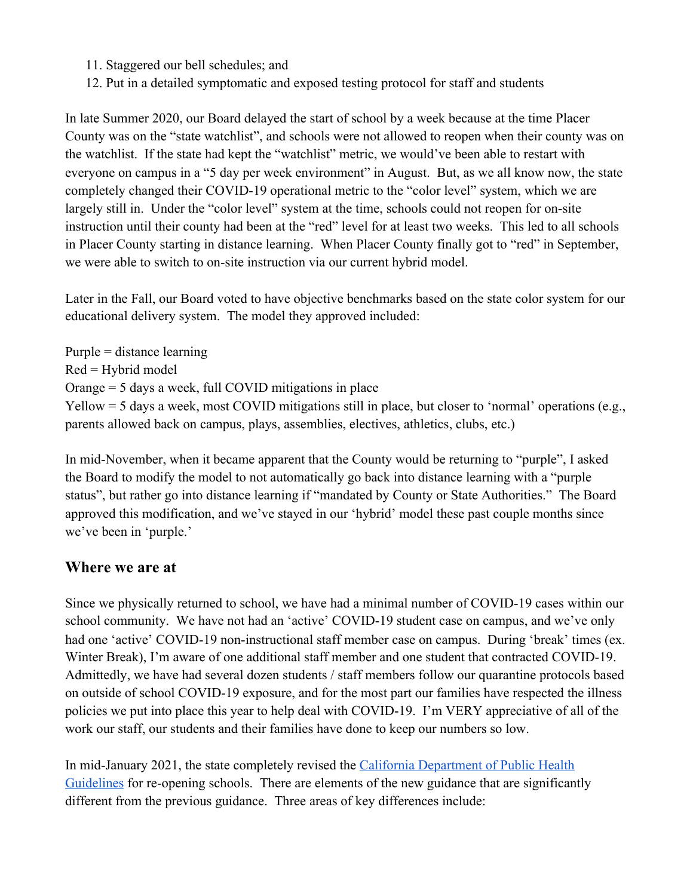- 11. Staggered our bell schedules; and
- 12. Put in a detailed symptomatic and exposed testing protocol for staff and students

In late Summer 2020, our Board delayed the start of school by a week because at the time Placer County was on the "state watchlist", and schools were not allowed to reopen when their county was on the watchlist. If the state had kept the "watchlist" metric, we would've been able to restart with everyone on campus in a "5 day per week environment" in August. But, as we all know now, the state completely changed their COVID-19 operational metric to the "color level" system, which we are largely still in. Under the "color level" system at the time, schools could not reopen for on-site instruction until their county had been at the "red" level for at least two weeks. This led to all schools in Placer County starting in distance learning. When Placer County finally got to "red" in September, we were able to switch to on-site instruction via our current hybrid model.

Later in the Fall, our Board voted to have objective benchmarks based on the state color system for our educational delivery system. The model they approved included:

Purple = distance learning  $Red = Hybrid model$ Orange = 5 days a week, full COVID mitigations in place Yellow = 5 days a week, most COVID mitigations still in place, but closer to 'normal' operations (e.g., parents allowed back on campus, plays, assemblies, electives, athletics, clubs, etc.)

In mid-November, when it became apparent that the County would be returning to "purple", I asked the Board to modify the model to not automatically go back into distance learning with a "purple status", but rather go into distance learning if "mandated by County or State Authorities." The Board approved this modification, and we've stayed in our 'hybrid' model these past couple months since we've been in 'purple.'

#### **Where we are at**

Since we physically returned to school, we have had a minimal number of COVID-19 cases within our school community. We have not had an 'active' COVID-19 student case on campus, and we've only had one 'active' COVID-19 non-instructional staff member case on campus. During 'break' times (ex. Winter Break), I'm aware of one additional staff member and one student that contracted COVID-19. Admittedly, we have had several dozen students / staff members follow our quarantine protocols based on outside of school COVID-19 exposure, and for the most part our families have respected the illness policies we put into place this year to help deal with COVID-19. I'm VERY appreciative of all of the work our staff, our students and their families have done to keep our numbers so low.

In mid-January 2021, the state completely revised the [California Department of Public Health](https://www.cdph.ca.gov/Programs/CID/DCDC/CDPH%20Document%20Library/COVID-19/Consolidated_Schools_Guidance.pdf) [Guidelines](https://www.cdph.ca.gov/Programs/CID/DCDC/CDPH%20Document%20Library/COVID-19/Consolidated_Schools_Guidance.pdf) for re-opening schools. There are elements of the new guidance that are significantly different from the previous guidance. Three areas of key differences include: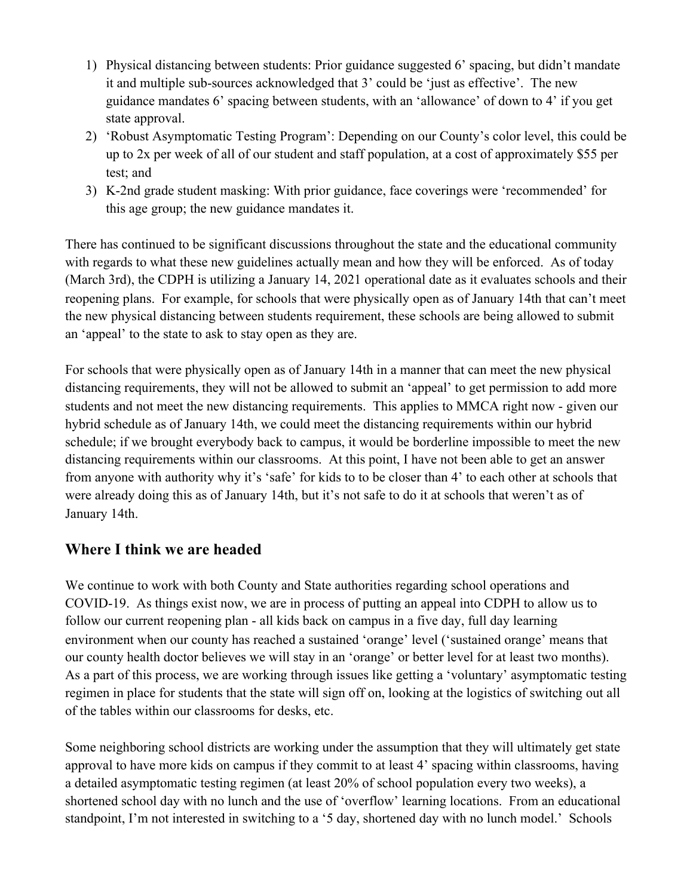- 1) Physical distancing between students: Prior guidance suggested 6' spacing, but didn't mandate it and multiple sub-sources acknowledged that 3' could be 'just as effective'. The new guidance mandates 6' spacing between students, with an 'allowance' of down to 4' if you get state approval.
- 2) 'Robust Asymptomatic Testing Program': Depending on our County's color level, this could be up to 2x per week of all of our student and staff population, at a cost of approximately \$55 per test; and
- 3) K-2nd grade student masking: With prior guidance, face coverings were 'recommended' for this age group; the new guidance mandates it.

There has continued to be significant discussions throughout the state and the educational community with regards to what these new guidelines actually mean and how they will be enforced. As of today (March 3rd), the CDPH is utilizing a January 14, 2021 operational date as it evaluates schools and their reopening plans. For example, for schools that were physically open as of January 14th that can't meet the new physical distancing between students requirement, these schools are being allowed to submit an 'appeal' to the state to ask to stay open as they are.

For schools that were physically open as of January 14th in a manner that can meet the new physical distancing requirements, they will not be allowed to submit an 'appeal' to get permission to add more students and not meet the new distancing requirements. This applies to MMCA right now - given our hybrid schedule as of January 14th, we could meet the distancing requirements within our hybrid schedule; if we brought everybody back to campus, it would be borderline impossible to meet the new distancing requirements within our classrooms. At this point, I have not been able to get an answer from anyone with authority why it's 'safe' for kids to to be closer than 4' to each other at schools that were already doing this as of January 14th, but it's not safe to do it at schools that weren't as of January 14th.

# **Where I think we are headed**

We continue to work with both County and State authorities regarding school operations and COVID-19. As things exist now, we are in process of putting an appeal into CDPH to allow us to follow our current reopening plan - all kids back on campus in a five day, full day learning environment when our county has reached a sustained 'orange' level ('sustained orange' means that our county health doctor believes we will stay in an 'orange' or better level for at least two months). As a part of this process, we are working through issues like getting a 'voluntary' asymptomatic testing regimen in place for students that the state will sign off on, looking at the logistics of switching out all of the tables within our classrooms for desks, etc.

Some neighboring school districts are working under the assumption that they will ultimately get state approval to have more kids on campus if they commit to at least 4' spacing within classrooms, having a detailed asymptomatic testing regimen (at least 20% of school population every two weeks), a shortened school day with no lunch and the use of 'overflow' learning locations. From an educational standpoint, I'm not interested in switching to a '5 day, shortened day with no lunch model.' Schools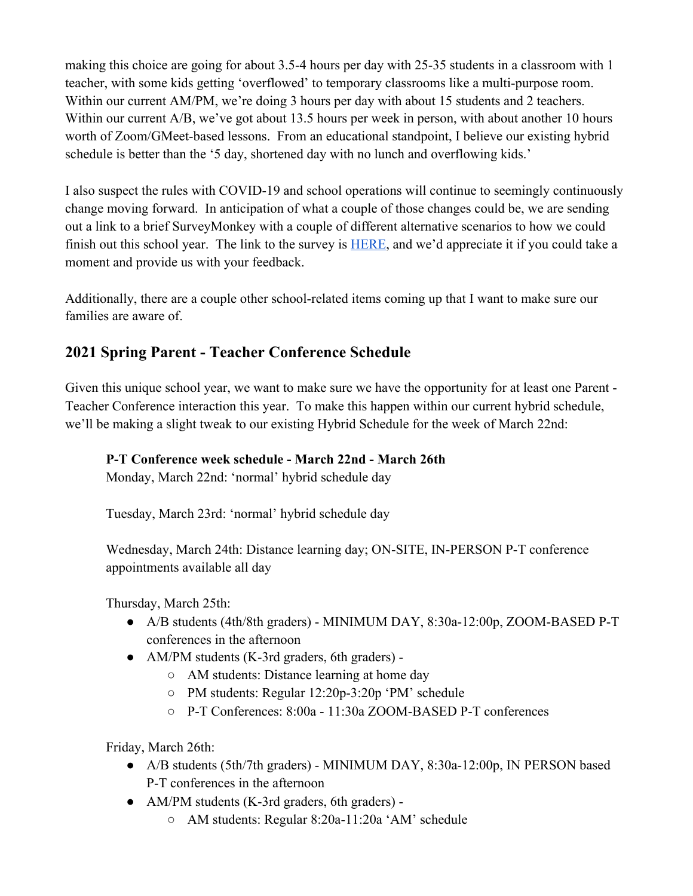making this choice are going for about 3.5-4 hours per day with 25-35 students in a classroom with 1 teacher, with some kids getting 'overflowed' to temporary classrooms like a multi-purpose room. Within our current AM/PM, we're doing 3 hours per day with about 15 students and 2 teachers. Within our current A/B, we've got about 13.5 hours per week in person, with about another 10 hours worth of Zoom/GMeet-based lessons. From an educational standpoint, I believe our existing hybrid schedule is better than the '5 day, shortened day with no lunch and overflowing kids.'

I also suspect the rules with COVID-19 and school operations will continue to seemingly continuously change moving forward. In anticipation of what a couple of those changes could be, we are sending out a link to a brief SurveyMonkey with a couple of different alternative scenarios to how we could finish out this school year. The link to the survey is [HERE](https://www.surveymonkey.com/r/Spring2021COVID), and we'd appreciate it if you could take a moment and provide us with your feedback.

Additionally, there are a couple other school-related items coming up that I want to make sure our families are aware of.

### **2021 Spring Parent - Teacher Conference Schedule**

Given this unique school year, we want to make sure we have the opportunity for at least one Parent - Teacher Conference interaction this year. To make this happen within our current hybrid schedule, we'll be making a slight tweak to our existing Hybrid Schedule for the week of March 22nd:

#### **P-T Conference week schedule - March 22nd - March 26th**

Monday, March 22nd: 'normal' hybrid schedule day

Tuesday, March 23rd: 'normal' hybrid schedule day

Wednesday, March 24th: Distance learning day; ON-SITE, IN-PERSON P-T conference appointments available all day

Thursday, March 25th:

- A/B students (4th/8th graders) MINIMUM DAY, 8:30a-12:00p, ZOOM-BASED P-T conferences in the afternoon
- AM/PM students (K-3rd graders, 6th graders) -
	- AM students: Distance learning at home day
	- PM students: Regular 12:20p-3:20p 'PM' schedule
	- P-T Conferences: 8:00a 11:30a ZOOM-BASED P-T conferences

Friday, March 26th:

- A/B students (5th/7th graders) MINIMUM DAY, 8:30a-12:00p, IN PERSON based P-T conferences in the afternoon
- AM/PM students (K-3rd graders, 6th graders) -
	- AM students: Regular 8:20a-11:20a 'AM' schedule